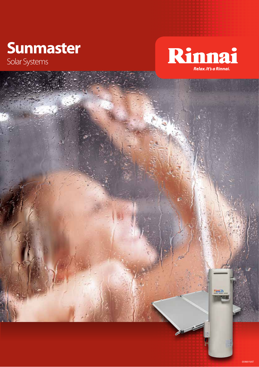## **Sunmaster**

Solar Systems



05969 NAT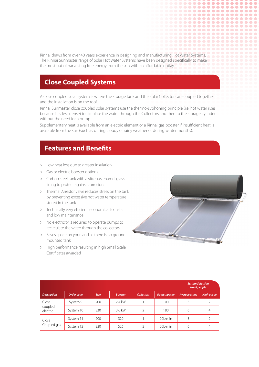Rinnai draws from over 40 years experience in designing and manufacturing Hot Water Systems. The Rinnai Sunmaster range of Solar Hot Water Systems have been designed specifically to make the most out of harvesting free energy from the sun with an affordable outlay.

## **Close Coupled Systems**

A close coupled solar system is where the storage tank and the Solar Collectors are coupled together and the installation is on the roof.

Rinnai Sunmaster close coupled solar systems use the thermo-syphoning principle (i.e. hot water rises because it is less dense) to circulate the water through the Collectors and then to the storage cylinder without the need for a pump.

Supplementary heat is available from an electric element or a Rinnai gas booster if insufficient heat is available from the sun (such as during cloudy or rainy weather or during winter months).

## **Features and Benefits**

- > Low heat loss due to greater insulation
- > Gas or electric booster options
- > Carbon steel tank with a vitreous enamel glass lining to protect against corrosion
- > Thermal Arrestor valve reduces stress on the tank by preventing excessive hot water temperature stored in the tank
- > Technically very efficient, economical to install and low maintenance
- > No electricity is required to operate pumps to recirculate the water through the collectors
- > Saves space on your land as there is no ground mounted tank
- > High performance resulting in high Small Scale Certificates awarded



........ ......... ............ ..............

................

.............. .................. **.............** 

**...............** 

 $\bullet$ 

 $\bullet$   $\bullet$ 

 $\bullet$ 

|                              |            |             |                 |                   |                       | <b>System Selection</b><br>No of people |                   |  |
|------------------------------|------------|-------------|-----------------|-------------------|-----------------------|-----------------------------------------|-------------------|--|
| <b>Description</b>           | Order code | <b>Size</b> | <b>Booster</b>  | <b>Collectors</b> | <b>Boost capacity</b> | Average usage                           | <b>High usage</b> |  |
| Close<br>coupled<br>electric | System 9   | 200         | 2.4 kW          |                   | 100                   | 3                                       |                   |  |
|                              | System 10  | 330         | 3.6 kW          |                   | 180                   | 6                                       | $\overline{4}$    |  |
| Close<br>Coupled gas         | System 11  | 200         | S <sub>20</sub> |                   | 20L/min               | 3                                       |                   |  |
|                              | System 12  | 330         | S <sub>26</sub> |                   | $26$ L/min            | 6                                       | 4                 |  |